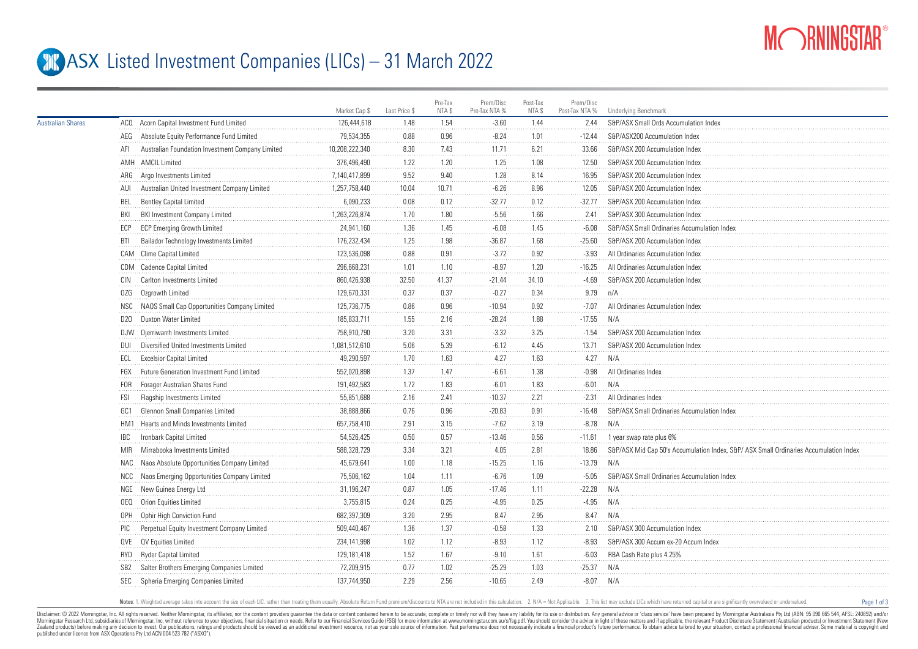

Page 1 of 3

## **ASX** Listed Investment Companies (LICs) – 31 March 2022

|                          |                 |                                                  | Market Cap \$  | Last Price \$ | Pre-Tax<br>NTA \$ | Prem/Disc<br>Pre-Tax NTA % | Post-Tax<br>NTA \$ | Prem/Disc<br>Post-Tax NTA % | <b>Underlying Benchmark</b>                                                          |
|--------------------------|-----------------|--------------------------------------------------|----------------|---------------|-------------------|----------------------------|--------------------|-----------------------------|--------------------------------------------------------------------------------------|
| <b>Australian Shares</b> |                 | ACQ Acorn Capital Investment Fund Limited        | 126,444,618    | 1.48          | 1.54              | $-3.60$                    | 1.44               | 2.44                        | S&P/ASX Small Ords Accumulation Index                                                |
|                          |                 | AEG Absolute Equity Performance Fund Limited     | 79,534,355     | 0.88          | 0.96              | $-8.24$                    | 1.01               | $-12.44$                    | S&P/ASX200 Accumulation Index                                                        |
|                          | AFI             | Australian Foundation Investment Company Limited | 10,208,222,340 | 8.30          | 7.43              | 11.71                      | 6.21               | 33.66                       | S&P/ASX 200 Accumulation Index                                                       |
|                          |                 | AMH AMCIL Limited                                | 376,496,490    | 1.22          | 1.20              | 1.25                       | 1.08               | 12.50                       | S&P/ASX 200 Accumulation Index                                                       |
|                          |                 | ARG Argo Investments Limited                     | 7,140,417,899  | 9.52          | 9.40              | 1.28                       | 8.14               | 16.95                       | S&P/ASX 200 Accumulation Index                                                       |
|                          | AUI             | Australian United Investment Company Limited     | 1,257,758,440  | 10.04         | 10.71             | $-6.26$                    | 8.96               | 12.05                       | S&P/ASX 200 Accumulation Index                                                       |
|                          | BEL             | <b>Bentley Capital Limited</b>                   | 6,090,233      | 0.08          | 0.12              | $-32.77$                   | 0.12               | $-32.77$                    | S&P/ASX 200 Accumulation Index                                                       |
|                          | BKI             | BKI Investment Company Limited                   | 1,263,226,874  | 1.70          | 1.80              | $-5.56$                    | 1.66               | 2.41                        | S&P/ASX 300 Accumulation Index                                                       |
|                          | ECP             | <b>ECP Emerging Growth Limited</b>               | 24,941,160     | 1.36          | 1.45              | $-6.08$                    | 1.45               | $-6.08$                     | S&P/ASX Small Ordinaries Accumulation Index                                          |
|                          | BTI             | Bailador Technology Investments Limited          | 176,232,434    | 1.25          | 1.98              | $-36.87$                   | 1.68               | $-25.60$                    | S&P/ASX 200 Accumulation Index                                                       |
|                          |                 | CAM Clime Capital Limited                        | 123,536,098    | 0.88          | 0.91              | $-3.72$                    | 0.92               | $-3.93$                     | All Ordinaries Accumulation Index                                                    |
|                          |                 | CDM Cadence Capital Limited                      | 296,668,231    | 1.01          | 1.10              | $-8.97$                    | 1.20               | $-16.25$                    | All Ordinaries Accumulation Index                                                    |
|                          | CIN             | Carlton Investments Limited                      | 860,426,938    | 32.50         | 41.37             | $-21.44$                   | 34.10              | -4.69                       | S&P/ASX 200 Accumulation Index                                                       |
|                          | 0ZG             | Ozgrowth Limited                                 | 129,670,331    | 0.37          | 0.37              | $-0.27$                    | 0.34               | 9.79                        | n/A                                                                                  |
|                          | NSC             | NAOS Small Cap Opportunities Company Limited     | 125,736,775    | 0.86          | 0.96              | $-10.94$                   | 0.92               | $-7.07$                     | All Ordinaries Accumulation Index                                                    |
|                          | D20             | Duxton Water Limited                             | 185,833,711    | 1.55          | 2.16              | $-28.24$                   | 1.88               | $-17.55$                    | N/A                                                                                  |
|                          |                 | DJW Djerriwarrh Investments Limited              | 758,910,790    | 3.20          | 3.31              | $-3.32$                    | 3.25               | $-1.54$                     | S&P/ASX 200 Accumulation Index                                                       |
|                          | DUI             | Diversified United Investments Limited           | 1,081,512,610  | 5.06          | 5.39              | $-6.12$                    | 4.45               | 13.71                       | S&P/ASX 200 Accumulation Index                                                       |
|                          | ECL             | <b>Excelsior Capital Limited</b>                 | 49,290,597     | 1.70          | 1.63              | 4.27                       | 1.63               | 4.27                        | N/A                                                                                  |
|                          | FGX             | Future Generation Investment Fund Limited        | 552,020,898    | 1.37          | 1.47              | $-6.61$                    | 1.38               | $-0.98$                     | All Ordinaries Index                                                                 |
|                          | FOR             | Forager Australian Shares Fund                   | 191,492,583    | 1.72          | 1.83              | $-6.01$                    | 1.83               | $-6.01$                     | N/A                                                                                  |
|                          | FSI             | Flagship Investments Limited                     | 55,851,688     | 2.16          | 2.41              | $-10.37$                   | 2.21               | $-2.31$                     | All Ordinaries Index                                                                 |
|                          | GC1             | Glennon Small Companies Limited                  | 38,888,866     | 0.76          | 0.96              | $-20.83$                   | 0.91               | $-16.48$                    | S&P/ASX Small Ordinaries Accumulation Inde                                           |
|                          |                 | HM1 Hearts and Minds Investments Limited         | 657,758,410    | 2.91          | 3.15              | $-7.62$                    | 3.19               | $-8.78$                     | N/A                                                                                  |
|                          | <b>IBC</b>      | Ironbark Capital Limited                         | 54,526,425     | 0.50          | 0.57              | $-13.46$                   | 0.56               | $-11.61$                    | 1 year swap rate plus 6%                                                             |
|                          | <b>MIR</b>      | Mirrabooka Investments Limited                   | 588,328,729    | 3.34          | 3.21              | 4.05                       | 2.81               | 18.86                       | S&P/ASX Mid Cap 50's Accumulation Index, S&P/ASX Small Ordinaries Accumulation Index |
|                          | NAC             | Naos Absolute Opportunities Company Limited      | 45,679,641     | 1.00          | 1.18              | $-15.25$                   | 1.16               | $-13.79$                    | N/A                                                                                  |
|                          | NCC             | Naos Emerging Opportunities Company Limited      | 75,506,162     | 1.04          | 1.11              | $-6.76$                    | 1.09               | $-5.05$                     | S&P/ASX Small Ordinaries Accumulation Index                                          |
|                          |                 | NGE New Guinea Energy Ltd                        | 31,196,247     | 0.87          | 1.05              | $-17.46$                   | 1.11               | $-22.28$                    | N/A                                                                                  |
|                          | 0EQ             | Orion Equities Limited                           | 3,755,815      | 0.24          | 0.25              | $-4.95$                    | 0.25               | $-4.95$                     | N/A                                                                                  |
|                          | 0PH             | Ophir High Conviction Fund                       | 682,397,309    | 3.20          | 2.95              | 8.47                       | 2.95               | 8.47                        | N/A                                                                                  |
|                          | PIC             | Perpetual Equity Investment Company Limited      | 509,440,467    | 1.36          | 1.37              | $-0.58$                    | 1.33               | 2.10                        | S&P/ASX 300 Accumulation Index                                                       |
|                          |                 | QVE QV Equities Limited                          | 234,141,998    | 1.02          | 1.12              | $-8.93$                    | 1.12               | $-8.93$                     | S&P/ASX 300 Accum ex-20 Accum Index                                                  |
|                          | RYD             | Ryder Capital Limited                            | 129,181,418    | 1.52          | 1.67              | $-9.10$                    | 1.61               | $-6.03$                     | RBA Cash Rate plus 4.25%                                                             |
|                          | SB <sub>2</sub> | Salter Brothers Emerging Companies Limited       | 72,209,915     | 0.77          | 1.02              | $-25.29$                   | 1.03               | $-25.37$                    | N/A                                                                                  |
|                          | <b>SEC</b>      | Spheria Emerging Companies Limited               | 137,744,950    | 2.29          | 2.56              | $-10.65$                   | 2.49               | $-8.07$                     | N/A                                                                                  |
|                          |                 |                                                  |                |               |                   |                            |                    |                             |                                                                                      |

Notes: 1. Weighted average takes into account the size of each LIC, rather than treating them equally. Absolute Return Fund premium/discounts to NTA are not included in this calculation. 2. N/A = Not Applicable. 3. This li

Disclaimer: © 2022 Morninostar, Inc. All rights reseved. Neither Morninostar, its affiliates, nor the content providers quarantee the data or content consined herein to be accurate, complete or timely nor will they have an Morningstar Research Ltd, subsidiaries of Morningstar, Inc, without reference to your objectives, financial stuation or needs. Refer to our Financial Services Guide (FSG) for more information at www.morningstar.com.au/s/fs Zealand products) before making any decision to invest. Our publications, ratings and products should be viewed as an additional investment resource. not as your sole source of information. Past performance does not necess published under licence from ASX Operations Pty Ltd ACN 004 523 782 ("ASXO").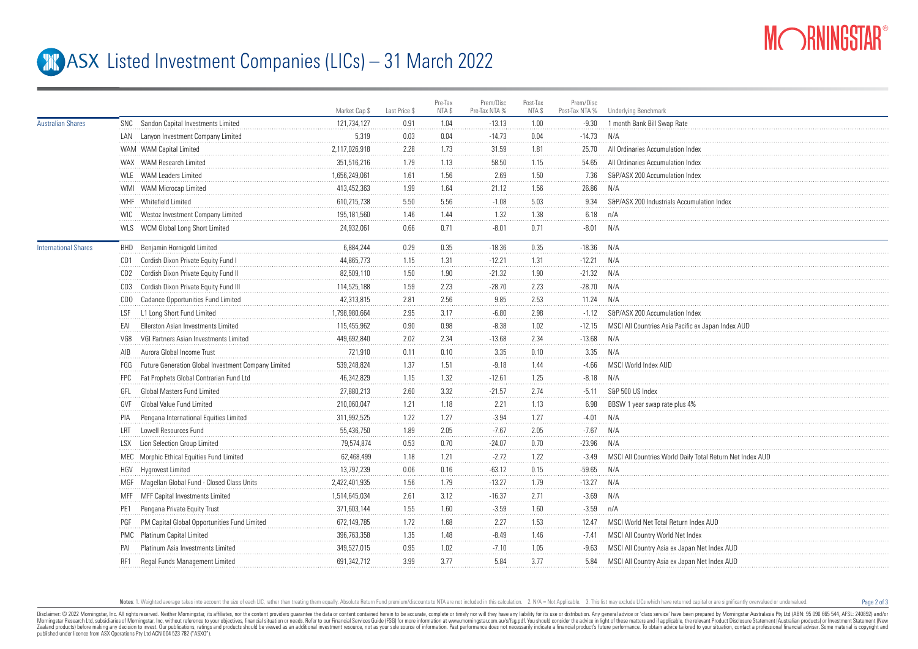

Page 2 of 3

## **ASX** Listed Investment Companies (LICs) – 31 March 2022

|                             |            |                                                     | Market Cap \$ | Last Price \$ | Pre-Tax<br>NTA \$ | Prem/Disc<br>Pre-Tax NTA % | Post-Tax<br>NTA \$ | Prem/Disc<br>Post-Tax NTA % | Underlying Benchmark                                      |
|-----------------------------|------------|-----------------------------------------------------|---------------|---------------|-------------------|----------------------------|--------------------|-----------------------------|-----------------------------------------------------------|
| <b>Australian Shares</b>    |            | SNC Sandon Capital Investments Limited              | 121,734,127   | 0.91          | 1.04              | $-13.13$                   | 1.00               | $-9.30$                     | 1 month Bank Bill Swap Rate                               |
|                             |            | LAN Lanyon Investment Company Limited               | 5,319         | 0.03          | 0.04              | $-14.73$                   | 0.04               | $-14.73$                    | N/A                                                       |
|                             |            | WAM WAM Capital Limited                             | 2,117,026,918 | 2.28          | 1.73              | 31.59                      | 1.81               | 25.70                       | All Ordinaries Accumulation Index                         |
|                             |            | WAX WAM Research Limited                            | 351.516.216   | 1.79          | 1.13              | 58.50                      | 1.15               | 54.65                       | All Ordinaries Accumulation Index                         |
|                             |            | WLE WAM Leaders Limited                             | 1,656,249,061 | 1.61          | 1.56              | 2.69                       | 1.50               | 7.36                        | S&P/ASX 200 Accumulation Index                            |
|                             |            | WMI WAM Microcap Limited                            | 413,452,363   | 1.99          | 1.64              | 21.12                      | 1.56               | 26.86                       | N/A                                                       |
|                             |            | WHF Whitefield Limited                              | 610,215,738   | 5.50          | 5.56              | $-1.08$                    | 5.03               | 9.34                        | S&P/ASX 200 Industrials Accumulation Index                |
|                             |            | WIC Westoz Investment Company Limited               | 195,181,560   | 1.46          | 1.44<br>.         | 1.32                       | 1.38               | 6.18                        | n/A                                                       |
|                             |            | WLS WCM Global Long Short Limited                   | 24,932,061    | 0.66          | 0.71              | $-8.01$                    | 0.71               | $-8.01$                     | N/A                                                       |
| <b>International Shares</b> |            | <b>BHD</b> Benjamin Hornigold Limited               | 6.884.244     | 0.29          | 0.35              | $-18.36$                   | 0.35               | $-18.36$                    | N/A                                                       |
|                             |            | CD1 Cordish Dixon Private Equity Fund I             | 44,865,773    | 1.15          | 1.31              | $-12.21$                   | 1.31               | $-12.21$                    | N/A                                                       |
|                             |            | CD2 Cordish Dixon Private Equity Fund II            | 82,509,110    | 1.50          | 1.90              | $-21.32$                   | 1.90               | $-21.32$                    | N/A                                                       |
|                             | CD3        | Cordish Dixon Private Equity Fund III               | 114,525,188   | 1.59          | 2.23              | $-28.70$                   | 2.23               | $-28.70$                    | N/A                                                       |
|                             |            | CDO Cadance Opportunities Fund Limited              | 42,313,815    | 2.81          | 2.56              | 9.85                       | 2.53               | 11.24                       | N/A                                                       |
|                             | LSF        | L1 Long Short Fund Limited                          | 1,798,980,664 | 2.95          | 3.17              | $-6.80$                    | 2.98               | $-1.12$                     | S&P/ASX 200 Accumulation Index                            |
|                             | EAI        | Ellerston Asian Investments Limited                 | 115,455,962   | 0.90          | 0.98              | $-8.38$                    | 1.02               | $-12.15$                    | MSCI All Countries Asia Pacific ex Japan Index AUD        |
|                             | VG8        | VGI Partners Asian Investments Limited              | 449,692,840   | 2.02          | 2.34              | $-13.68$                   | 2.34               | $-13.68$                    | N/A                                                       |
|                             | AIB        | Aurora Global Income Trust                          | 721,910       | 0.11          | 0.10              | 3.35                       | 0.10               | 3.35                        | N/A                                                       |
|                             | FGG        | Future Generation Global Investment Company Limited | 539,248,824   | 1.37          | 1.51              | $-9.18$                    | 1.44               | $-4.66$                     | MSCI World Index AUD                                      |
|                             | <b>FPC</b> | Fat Prophets Global Contrarian Fund Ltd             | 46,342,829    | 1.15          | 1.32              | $-12.61$                   | 1.25               | $-8.18$                     | N/A                                                       |
|                             | GFL        | Global Masters Fund Limited                         | 27,880,213    | 2.60          | 3.32              | $-21.57$                   | 2.74               | $-5.11$                     | S&P 500 US Index                                          |
|                             | GVF        | Global Value Fund Limited                           | 210,060,047   | 1.21          | 1.18              | 2.21                       | 1.13               | 6.98                        | BBSW 1 year swap rate plus 4%                             |
|                             | PIA        | Pengana International Equities Limited              | 311,992,525   | 1.22          | 1.27              | $-3.94$                    | 1.27               | $-4.01$                     | N/A                                                       |
|                             | I RT       | Lowell Resources Fund                               | 55,436,750    | 1.89          | 2.05              | $-7.67$                    | 2.05               | $-7.67$                     | N/A                                                       |
|                             | <b>LSX</b> | Lion Selection Group Limited                        | 79,574,874    | 0.53          | 0.70              | $-24.07$                   | 0.70               | $-23.96$                    | N/A                                                       |
|                             |            | MEC Morphic Ethical Equities Fund Limited           | 62,468,499    | 1.18          | 1.21              | $-2.72$                    | 1.22               | $-3.49$                     | MSCI All Countries World Daily Total Return Net Index AUD |
|                             |            | HGV Hygrovest Limited                               | 13,797,239    | 0.06          | 0.16              | $-63.12$                   | 0.15               | $-59.65$                    | N/A                                                       |
|                             |            | MGF Magellan Global Fund - Closed Class Units       | 2,422,401,935 | 1.56          | 1.79              | $-13.27$                   | 1.79               | $-13.27$                    | N/A                                                       |
|                             |            | MFF MFF Capital Investments Limited                 | 1,514,645,034 | 2.61          | 3.12              | $-16.37$                   | 2.71               | $-3.69$                     | N/A                                                       |
|                             |            | Pengana Private Equity Trust                        | 371,603,144   | 1.55          | 1.60              | $-3.59$                    | 1.60               | $-3.59$                     | n/A                                                       |
|                             | PGF        | PM Capital Global Opportunities Fund Limited        | 672,149,785   | 1.72          | 1.68              | 2.27                       | 1.53               | 12.47                       | MSCI World Net Total Return Index AUD                     |
|                             |            | PMC Platinum Capital Limited                        | 396,763,358   | 1.35          | 1.48              | $-8.49$                    | 1.46               | -7.41                       | MSCI All Country World Net Index                          |
|                             |            | Platinum Asia Investments Limited                   | 349,527,015   | 0.95          | 1.02              | $-7.10$                    | 1.05               | $-9.63$                     | MSCI All Country Asia ex Japan Net Index AUD              |
|                             | RF1        | Regal Funds Management Limited                      | 691,342,712   | 3.99          | 3.77              | 5.84                       | 3.77               | 5.84                        | MSCI All Country Asia ex Japan Net Index AUD              |
|                             |            |                                                     |               |               |                   |                            |                    |                             |                                                           |

Notes: 1. Weighted average takes into account the size of each LIC, rather than treating them equally. Absolute Return Fund premium/discounts to NTA are not included in this calculation. 2. N/A = Not Applicable. 3. This li

Disclaimer: © 2022 Morninostar, Inc. All rights reseved. Neither Morninostar, its affiliates, nor the content providers quarantee the data or content consined herein to be accurate, complete or timely nor will they have an Morningstar Research Ltd, subsidiaries of Morningstar, Inc, without reference to your objectives, financial stuation or needs. Refer to our Financial Services Guide (FSG) for more information at www.morningstar.com.au/s/fs Zealand products) before making any decision to invest. Our publications, ratings and products should be viewed as an additional investment resource. not as your sole source of information. Past performance does not necess published under licence from ASX Operations Pty Ltd ACN 004 523 782 ("ASXO").